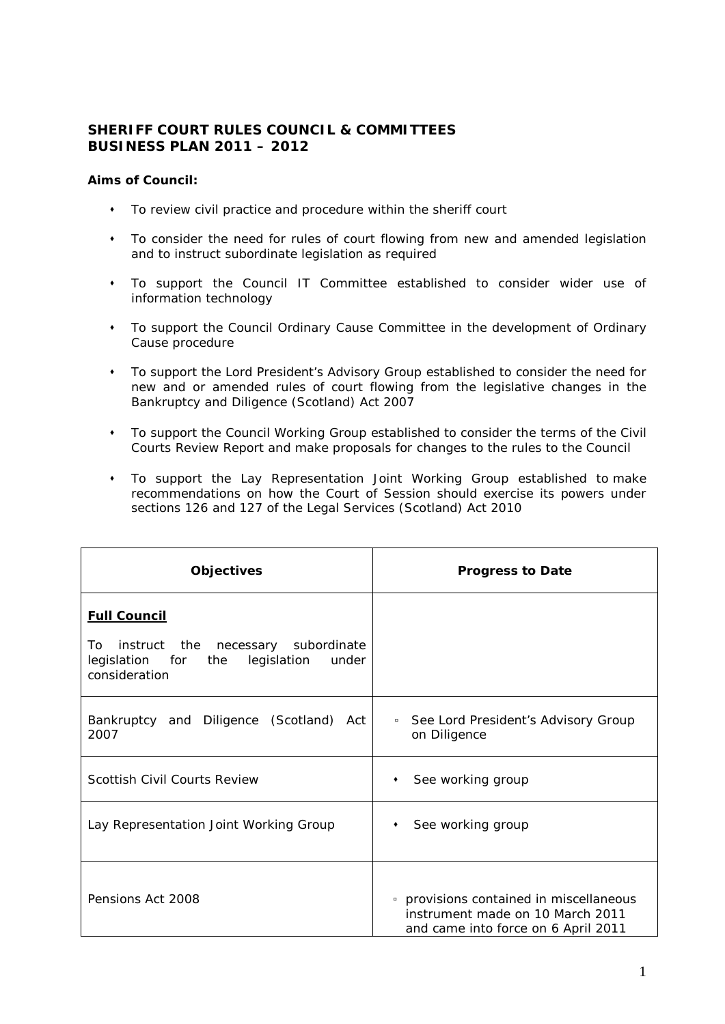## **SHERIFF COURT RULES COUNCIL & COMMITTEES BUSINESS PLAN 2011 – 2012**

## **Aims of Council:**

- To review civil practice and procedure within the sheriff court
- To consider the need for rules of court flowing from new and amended legislation and to instruct subordinate legislation as required
- To support the Council IT Committee established to consider wider use of information technology
- To support the Council Ordinary Cause Committee in the development of Ordinary Cause procedure
- To support the Lord President's Advisory Group established to consider the need for new and or amended rules of court flowing from the legislative changes in the Bankruptcy and Diligence (Scotland) Act 2007
- To support the Council Working Group established to consider the terms of the Civil Courts Review Report and make proposals for changes to the rules to the Council
- To support the Lay Representation Joint Working Group established to make recommendations on how the Court of Session should exercise its powers under sections 126 and 127 of the Legal Services (Scotland) Act 2010

| <b>Objectives</b>                                                                                                               | <b>Progress to Date</b>                                                                                            |
|---------------------------------------------------------------------------------------------------------------------------------|--------------------------------------------------------------------------------------------------------------------|
| <b>Full Council</b><br>To<br>instruct the necessary subordinate<br>legislation for the<br>legislation<br>under<br>consideration |                                                                                                                    |
| Bankruptcy and Diligence (Scotland) Act<br>2007                                                                                 | See Lord President's Advisory Group<br>$\Box$<br>on Diligence                                                      |
| Scottish Civil Courts Review                                                                                                    | See working group<br>٠                                                                                             |
| Lay Representation Joint Working Group                                                                                          | See working group                                                                                                  |
| Pensions Act 2008                                                                                                               | • provisions contained in miscellaneous<br>instrument made on 10 March 2011<br>and came into force on 6 April 2011 |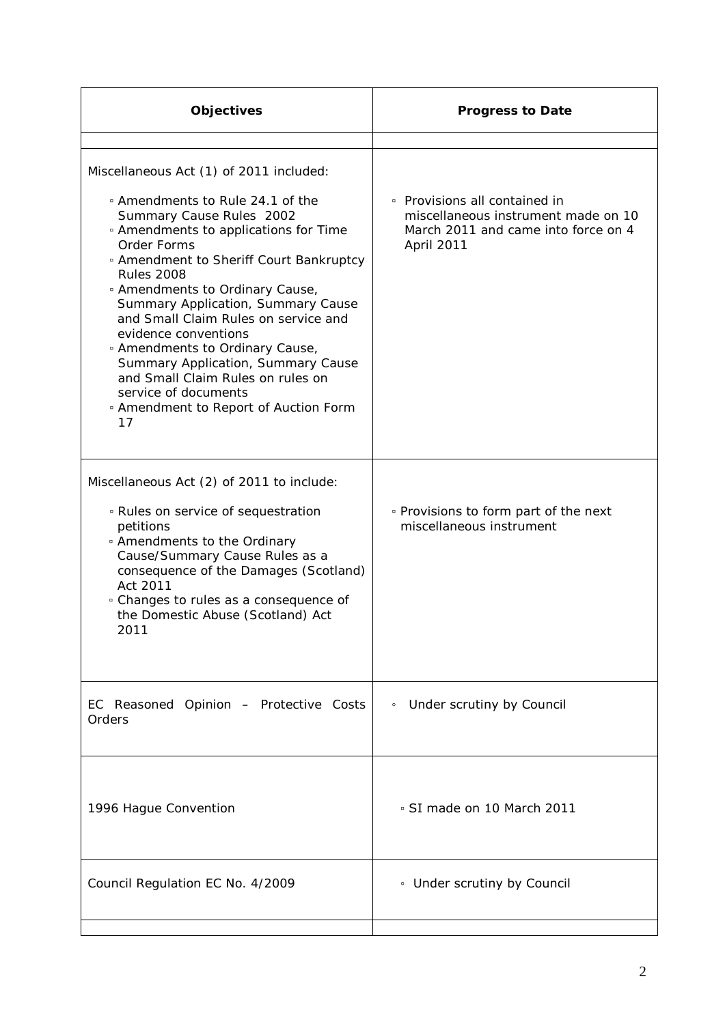| <b>Objectives</b>                                                                                                                                                                                                                                                                                                                                                                                                                                                                                                                                                                                                    | <b>Progress to Date</b>                                                                                                   |
|----------------------------------------------------------------------------------------------------------------------------------------------------------------------------------------------------------------------------------------------------------------------------------------------------------------------------------------------------------------------------------------------------------------------------------------------------------------------------------------------------------------------------------------------------------------------------------------------------------------------|---------------------------------------------------------------------------------------------------------------------------|
| Miscellaneous Act (1) of 2011 included:<br>□ Amendments to Rule 24.1 of the<br>Summary Cause Rules 2002<br><sup>o</sup> Amendments to applications for Time<br>Order Forms<br><sup>o</sup> Amendment to Sheriff Court Bankruptcy<br><b>Rules 2008</b><br><sup>o</sup> Amendments to Ordinary Cause,<br>Summary Application, Summary Cause<br>and Small Claim Rules on service and<br>evidence conventions<br><sup>o</sup> Amendments to Ordinary Cause,<br>Summary Application, Summary Cause<br>and Small Claim Rules on rules on<br>service of documents<br><sup>o</sup> Amendment to Report of Auction Form<br>17 | • Provisions all contained in<br>miscellaneous instrument made on 10<br>March 2011 and came into force on 4<br>April 2011 |
| Miscellaneous Act (2) of 2011 to include:<br><sup>o</sup> Rules on service of sequestration<br>petitions<br>• Amendments to the Ordinary<br>Cause/Summary Cause Rules as a<br>consequence of the Damages (Scotland)<br>Act 2011<br><sup>o</sup> Changes to rules as a consequence of<br>the Domestic Abuse (Scotland) Act<br>2011                                                                                                                                                                                                                                                                                    | • Provisions to form part of the next<br>miscellaneous instrument                                                         |
| EC Reasoned Opinion - Protective Costs<br>Orders                                                                                                                                                                                                                                                                                                                                                                                                                                                                                                                                                                     | Under scrutiny by Council<br>$\circ$                                                                                      |
| 1996 Hague Convention                                                                                                                                                                                                                                                                                                                                                                                                                                                                                                                                                                                                | · SI made on 10 March 2011                                                                                                |
| Council Regulation EC No. 4/2009                                                                                                                                                                                                                                                                                                                                                                                                                                                                                                                                                                                     | • Under scrutiny by Council                                                                                               |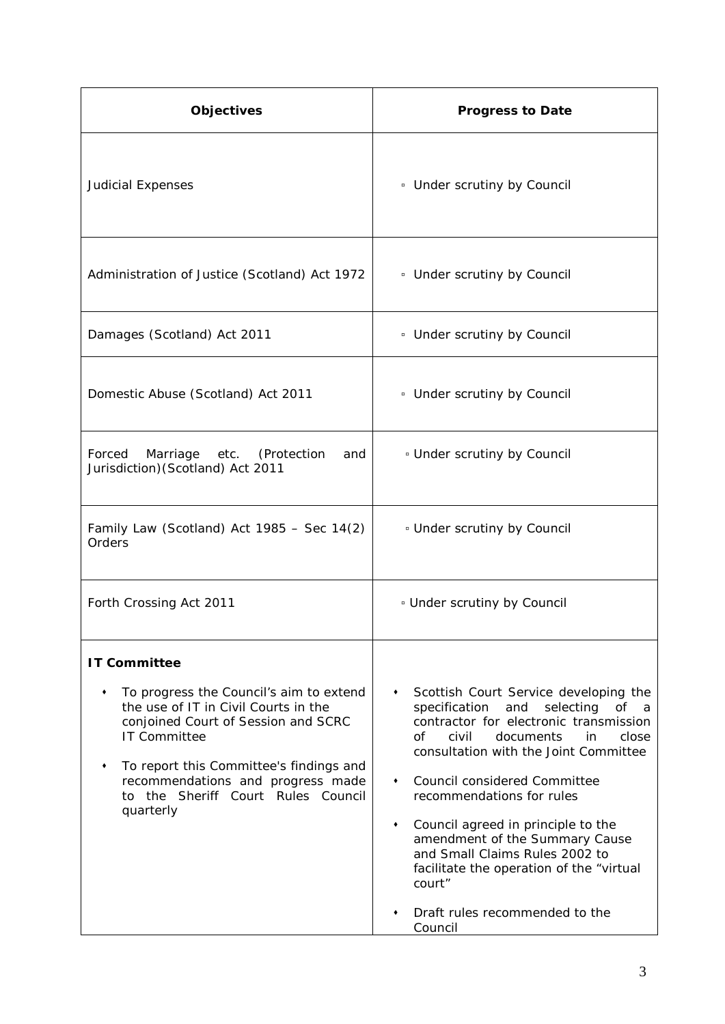| Objectives                                                                                                                                                                                                                                                                                       | <b>Progress to Date</b>                                                                                                                                                                                                                                                                                                                                                                                                                                                                                   |
|--------------------------------------------------------------------------------------------------------------------------------------------------------------------------------------------------------------------------------------------------------------------------------------------------|-----------------------------------------------------------------------------------------------------------------------------------------------------------------------------------------------------------------------------------------------------------------------------------------------------------------------------------------------------------------------------------------------------------------------------------------------------------------------------------------------------------|
| <b>Judicial Expenses</b>                                                                                                                                                                                                                                                                         | <sup>o</sup> Under scrutiny by Council                                                                                                                                                                                                                                                                                                                                                                                                                                                                    |
| Administration of Justice (Scotland) Act 1972                                                                                                                                                                                                                                                    | • Under scrutiny by Council                                                                                                                                                                                                                                                                                                                                                                                                                                                                               |
| Damages (Scotland) Act 2011                                                                                                                                                                                                                                                                      | • Under scrutiny by Council                                                                                                                                                                                                                                                                                                                                                                                                                                                                               |
| Domestic Abuse (Scotland) Act 2011                                                                                                                                                                                                                                                               | <sup>o</sup> Under scrutiny by Council                                                                                                                                                                                                                                                                                                                                                                                                                                                                    |
| Forced<br>Marriage<br>etc.<br>(Protection<br>and<br>Jurisdiction) (Scotland) Act 2011                                                                                                                                                                                                            | <sup>o</sup> Under scrutiny by Council                                                                                                                                                                                                                                                                                                                                                                                                                                                                    |
| Family Law (Scotland) Act $1985 -$ Sec $14(2)$<br>Orders                                                                                                                                                                                                                                         | <sup>o</sup> Under scrutiny by Council                                                                                                                                                                                                                                                                                                                                                                                                                                                                    |
| Forth Crossing Act 2011                                                                                                                                                                                                                                                                          | <b>Jumber scrutiny by Council</b>                                                                                                                                                                                                                                                                                                                                                                                                                                                                         |
| <b>IT Committee</b><br>To progress the Council's aim to extend<br>the use of IT in Civil Courts in the<br>conjoined Court of Session and SCRC<br>IT Committee<br>To report this Committee's findings and<br>recommendations and progress made<br>to the Sheriff Court Rules Council<br>quarterly | Scottish Court Service developing the<br>specification<br>and<br>selecting<br>of<br>- a<br>contractor for electronic transmission<br>of<br>civil<br>documents<br>in<br>close<br>consultation with the Joint Committee<br>Council considered Committee<br>٠<br>recommendations for rules<br>Council agreed in principle to the<br>٠<br>amendment of the Summary Cause<br>and Small Claims Rules 2002 to<br>facilitate the operation of the "virtual<br>court"<br>Draft rules recommended to the<br>Council |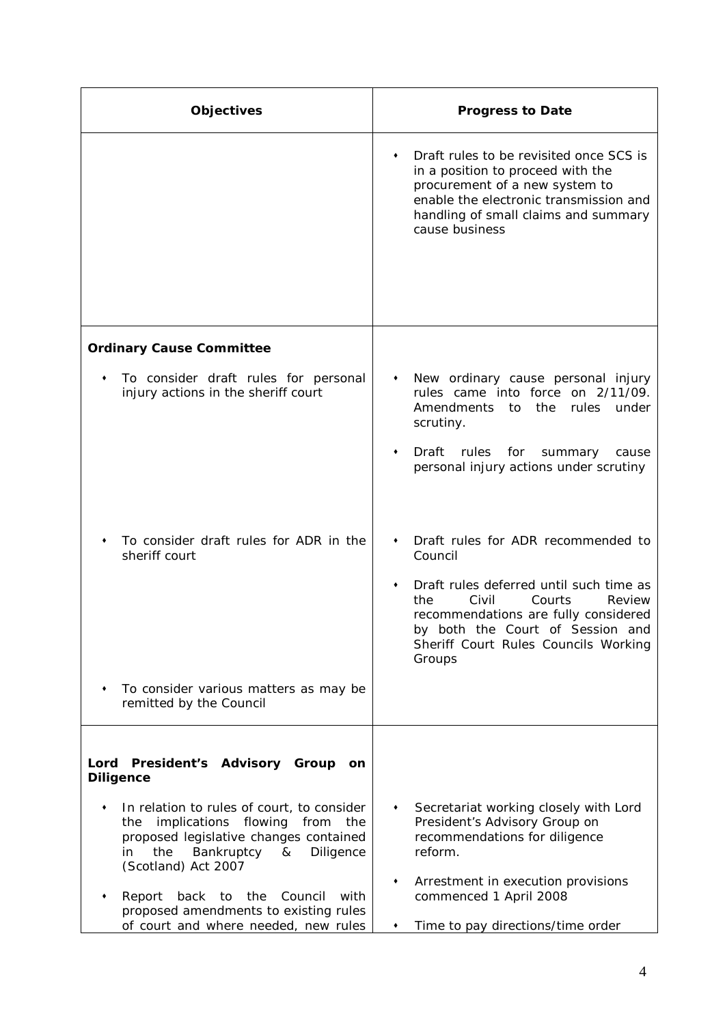| <b>Objectives</b>                                                                                                                                                                                                                                                   | <b>Progress to Date</b>                                                                                                                                                                                                                                         |
|---------------------------------------------------------------------------------------------------------------------------------------------------------------------------------------------------------------------------------------------------------------------|-----------------------------------------------------------------------------------------------------------------------------------------------------------------------------------------------------------------------------------------------------------------|
|                                                                                                                                                                                                                                                                     | Draft rules to be revisited once SCS is<br>in a position to proceed with the<br>procurement of a new system to<br>enable the electronic transmission and<br>handling of small claims and summary<br>cause business                                              |
| <b>Ordinary Cause Committee</b>                                                                                                                                                                                                                                     |                                                                                                                                                                                                                                                                 |
| To consider draft rules for personal<br>injury actions in the sheriff court                                                                                                                                                                                         | New ordinary cause personal injury<br>٠<br>rules came into force on 2/11/09.<br>Amendments<br>the<br>to<br>rules<br>under<br>scrutiny.<br>rules<br>Draft<br>for<br>summary<br>٠<br>cause<br>personal injury actions under scrutiny                              |
| To consider draft rules for ADR in the<br>sheriff court                                                                                                                                                                                                             | Draft rules for ADR recommended to<br>Council<br>Draft rules deferred until such time as<br>٠<br>the<br>Civil<br>Courts<br>Review<br>recommendations are fully considered<br>by both the Court of Session and<br>Sheriff Court Rules Councils Working<br>Groups |
| To consider various matters as may be<br>٠<br>remitted by the Council                                                                                                                                                                                               |                                                                                                                                                                                                                                                                 |
| Lord President's Advisory Group<br>on<br><b>Diligence</b><br>In relation to rules of court, to consider<br>implications flowing<br>from<br>the<br>the<br>proposed legislative changes contained<br>Bankruptcy<br>Diligence<br>the<br>&<br>in<br>(Scotland) Act 2007 | Secretariat working closely with Lord<br>٠<br>President's Advisory Group on<br>recommendations for diligence<br>reform.<br>Arrestment in execution provisions                                                                                                   |
| Report<br>back<br>the<br>Council<br>with<br>to<br>proposed amendments to existing rules<br>of court and where needed, new rules                                                                                                                                     | commenced 1 April 2008<br>Time to pay directions/time order<br>٠                                                                                                                                                                                                |